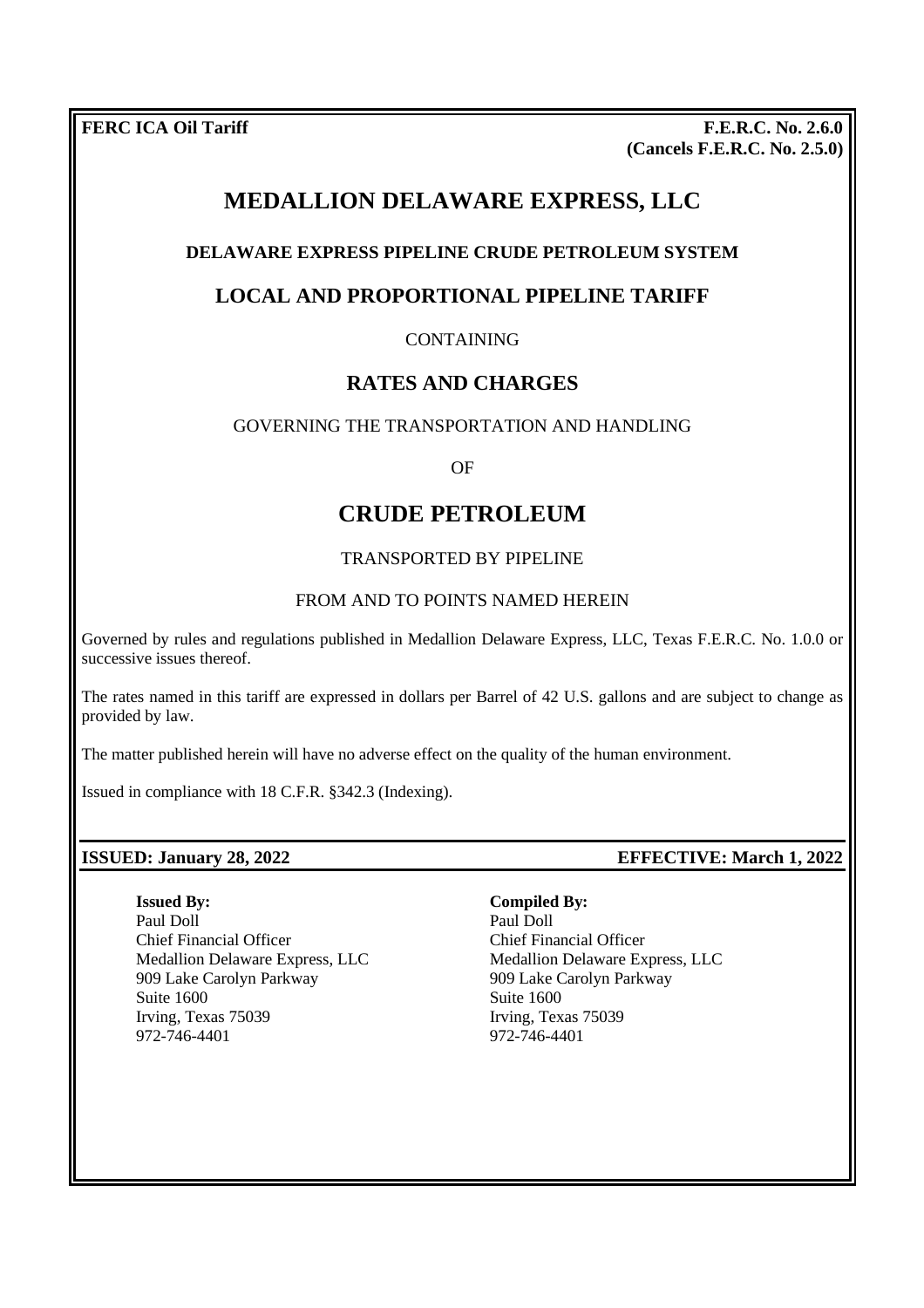**FERC ICA Oil Tariff F.E.R.C. No. 2.6.0 (Cancels F.E.R.C. No. 2.5.0)**

# **MEDALLION DELAWARE EXPRESS, LLC**

## **DELAWARE EXPRESS PIPELINE CRUDE PETROLEUM SYSTEM**

## **LOCAL AND PROPORTIONAL PIPELINE TARIFF**

### CONTAINING

## **RATES AND CHARGES**

#### GOVERNING THE TRANSPORTATION AND HANDLING

OF

# **CRUDE PETROLEUM**

#### TRANSPORTED BY PIPELINE

#### FROM AND TO POINTS NAMED HEREIN

Governed by rules and regulations published in Medallion Delaware Express, LLC, Texas F.E.R.C. No. 1.0.0 or successive issues thereof.

The rates named in this tariff are expressed in dollars per Barrel of 42 U.S. gallons and are subject to change as provided by law.

The matter published herein will have no adverse effect on the quality of the human environment.

Issued in compliance with 18 C.F.R. §342.3 (Indexing).

**Issued By:** Paul Doll Chief Financial Officer Medallion Delaware Express, LLC 909 Lake Carolyn Parkway Suite 1600 Irving, Texas 75039 972-746-4401

#### **ISSUED: January 28, 2022 EFFECTIVE: March 1, 2022**

**Compiled By:**

Paul Doll Chief Financial Officer Medallion Delaware Express, LLC 909 Lake Carolyn Parkway Suite 1600 Irving, Texas 75039 972-746-4401